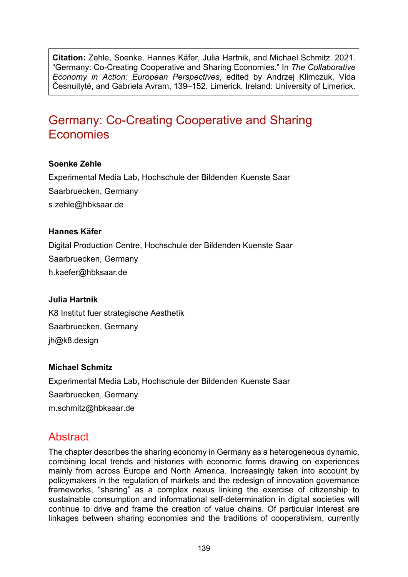**Citation:** Zehle, Soenke, Hannes Käfer, Julia Hartnik, and Michael Schmitz. 2021. "Germany: Co-Creating Cooperative and Sharing Economies." In *The Collaborative Economy in Action: European Perspectives*, edited by Andrzej Klimczuk, Vida Česnuitytė, and Gabriela Avram, 139–152. Limerick, Ireland: University of Limerick.

# Germany: Co-Creating Cooperative and Sharing Economies

#### **Soenke Zehle**

Experimental Media Lab, Hochschule der Bildenden Kuenste Saar Saarbruecken, Germany s.zehle@hbksaar.de

#### **Hannes Käfer**

Digital Production Centre, Hochschule der Bildenden Kuenste Saar Saarbruecken, Germany h.kaefer@hbksaar.de

#### **Julia Hartnik**

K8 Institut fuer strategische Aesthetik Saarbruecken, Germany jh@k8.design

#### **Michael Schmitz**

Experimental Media Lab, Hochschule der Bildenden Kuenste Saar Saarbruecken, Germany [m.schmitz@hbksaar.de](mailto:m.schmitz@hbksaar.de)

# Abstract

The chapter describes the sharing economy in Germany as a heterogeneous dynamic, combining local trends and histories with economic forms drawing on experiences mainly from across Europe and North America. Increasingly taken into account by policymakers in the regulation of markets and the redesign of innovation governance frameworks, "sharing" as a complex nexus linking the exercise of citizenship to sustainable consumption and informational self-determination in digital societies will continue to drive and frame the creation of value chains. Of particular interest are linkages between sharing economies and the traditions of cooperativism, currently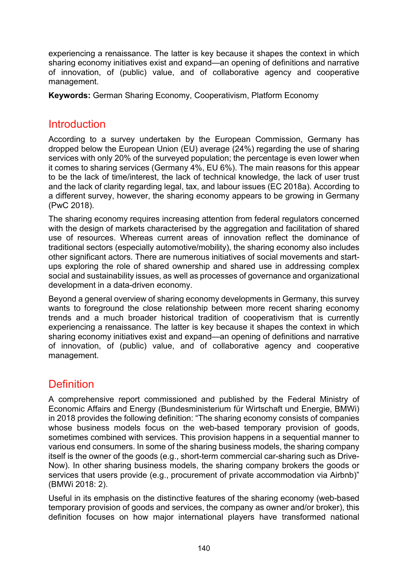experiencing a renaissance. The latter is key because it shapes the context in which sharing economy initiatives exist and expand—an opening of definitions and narrative of innovation, of (public) value, and of collaborative agency and cooperative management.

**Keywords:** German Sharing Economy, Cooperativism, Platform Economy

## Introduction

According to a survey undertaken by the European Commission, Germany has dropped below the European Union (EU) average (24%) regarding the use of sharing services with only 20% of the surveyed population; the percentage is even lower when it comes to sharing services (Germany 4%, EU 6%). The main reasons for this appear to be the lack of time/interest, the lack of technical knowledge, the lack of user trust and the lack of clarity regarding legal, tax, and labour issues (EC 2018a). According to a different survey, however, the sharing economy appears to be growing in Germany (PwC 2018).

The sharing economy requires increasing attention from federal regulators concerned with the design of markets characterised by the aggregation and facilitation of shared use of resources. Whereas current areas of innovation reflect the dominance of traditional sectors (especially automotive/mobility), the sharing economy also includes other significant actors. There are numerous initiatives of social movements and startups exploring the role of shared ownership and shared use in addressing complex social and sustainability issues, as well as processes of governance and organizational development in a data-driven economy.

Beyond a general overview of sharing economy developments in Germany, this survey wants to foreground the close relationship between more recent sharing economy trends and a much broader historical tradition of cooperativism that is currently experiencing a renaissance. The latter is key because it shapes the context in which sharing economy initiatives exist and expand—an opening of definitions and narrative of innovation, of (public) value, and of collaborative agency and cooperative management.

# **Definition**

A comprehensive report commissioned and published by the Federal Ministry of Economic Affairs and Energy (Bundesministerium für Wirtschaft und Energie, BMWi) in 2018 provides the following definition: "The sharing economy consists of companies whose business models focus on the web-based temporary provision of goods, sometimes combined with services. This provision happens in a sequential manner to various end consumers. In some of the sharing business models, the sharing company itself is the owner of the goods (e.g., short-term commercial car-sharing such as Drive-Now). In other sharing business models, the sharing company brokers the goods or services that users provide (e.g., procurement of private accommodation via Airbnb)" (BMWi 2018: 2).

Useful in its emphasis on the distinctive features of the sharing economy (web-based temporary provision of goods and services, the company as owner and/or broker), this definition focuses on how major international players have transformed national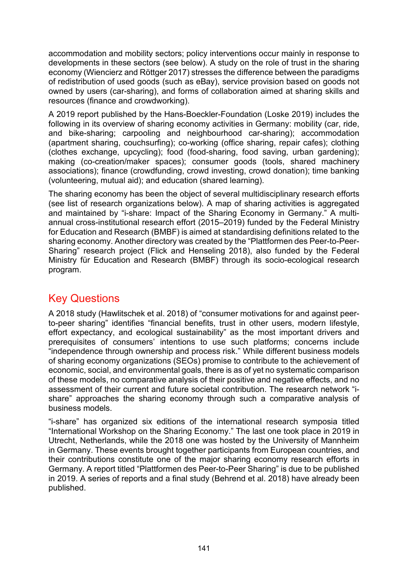accommodation and mobility sectors; policy interventions occur mainly in response to developments in these sectors (see below). A study on the role of trust in the sharing economy (Wiencierz and Röttger 2017) stresses the difference between the paradigms of redistribution of used goods (such as eBay), service provision based on goods not owned by users (car-sharing), and forms of collaboration aimed at sharing skills and resources (finance and crowdworking).

A 2019 report published by the Hans-Boeckler-Foundation (Loske 2019) includes the following in its overview of sharing economy activities in Germany: mobility (car, ride, and bike-sharing; carpooling and neighbourhood car-sharing); accommodation (apartment sharing, couchsurfing); co-working (office sharing, repair cafes); clothing (clothes exchange, upcycling); food (food-sharing, food saving, urban gardening); making (co-creation/maker spaces); consumer goods (tools, shared machinery associations); finance (crowdfunding, crowd investing, crowd donation); time banking (volunteering, mutual aid); and education (shared learning).

The sharing economy has been the object of several multidisciplinary research efforts (see list of research organizations below). A map of sharing activities is aggregated and maintained by "i-share: Impact of the Sharing Economy in Germany." A multiannual cross-institutional research effort (2015–2019) funded by the Federal Ministry for Education and Research (BMBF) is aimed at standardising definitions related to the sharing economy. Another directory was created by the "Plattformen des Peer-to-Peer-Sharing" research project (Flick and Henseling 2018), also funded by the Federal Ministry für Education and Research (BMBF) through its socio-ecological research program.

# Key Questions

A 2018 study (Hawlitschek et al. 2018) of "consumer motivations for and against peerto-peer sharing" identifies "financial benefits, trust in other users, modern lifestyle, effort expectancy, and ecological sustainability" as the most important drivers and prerequisites of consumers' intentions to use such platforms; concerns include "independence through ownership and process risk." While different business models of sharing economy organizations (SEOs) promise to contribute to the achievement of economic, social, and environmental goals, there is as of yet no systematic comparison of these models, no comparative analysis of their positive and negative effects, and no assessment of their current and future societal contribution. The research network "ishare" approaches the sharing economy through such a comparative analysis of business models.

"i-share" has organized six editions of the international research symposia titled "International Workshop on the Sharing Economy." The last one took place in 2019 in Utrecht, Netherlands, while the 2018 one was hosted by the University of Mannheim in Germany. These events brought together participants from European countries, and their contributions constitute one of the major sharing economy research efforts in Germany. A report titled "Plattformen des Peer-to-Peer Sharing" is due to be published in 2019. A series of reports and a final study (Behrend et al. 2018) have already been published.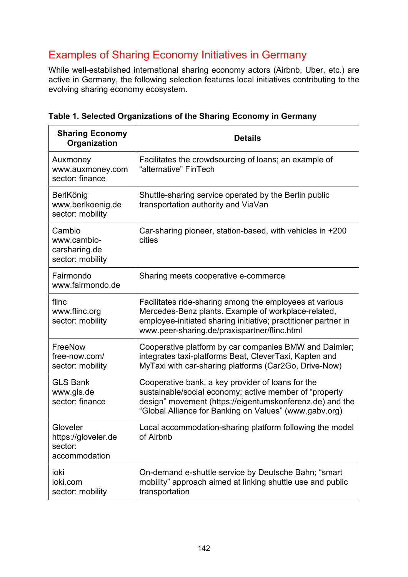# Examples of Sharing Economy Initiatives in Germany

While well-established international sharing economy actors (Airbnb, Uber, etc.) are active in Germany, the following selection features local initiatives contributing to the evolving sharing economy ecosystem.

| <b>Sharing Economy</b><br>Organization                      | <b>Details</b>                                                                                                                                                                                                                    |
|-------------------------------------------------------------|-----------------------------------------------------------------------------------------------------------------------------------------------------------------------------------------------------------------------------------|
| Auxmoney<br>www.auxmoney.com<br>sector: finance             | Facilitates the crowdsourcing of loans; an example of<br>"alternative" FinTech                                                                                                                                                    |
| BerlKönig<br>www.berlkoenig.de<br>sector: mobility          | Shuttle-sharing service operated by the Berlin public<br>transportation authority and ViaVan                                                                                                                                      |
| Cambio<br>www.cambio-<br>carsharing.de<br>sector: mobility  | Car-sharing pioneer, station-based, with vehicles in +200<br>cities                                                                                                                                                               |
| Fairmondo<br>www.fairmondo.de                               | Sharing meets cooperative e-commerce                                                                                                                                                                                              |
| flinc<br>www.flinc.org<br>sector: mobility                  | Facilitates ride-sharing among the employees at various<br>Mercedes-Benz plants. Example of workplace-related,<br>employee-initiated sharing initiative; practitioner partner in<br>www.peer-sharing.de/praxispartner/flinc.html  |
| FreeNow<br>free-now.com/<br>sector: mobility                | Cooperative platform by car companies BMW and Daimler;<br>integrates taxi-platforms Beat, CleverTaxi, Kapten and<br>MyTaxi with car-sharing platforms (Car2Go, Drive-Now)                                                         |
| <b>GLS Bank</b><br>www.gls.de<br>sector: finance            | Cooperative bank, a key provider of loans for the<br>sustainable/social economy; active member of "property<br>design" movement (https://eigentumskonferenz.de) and the<br>"Global Alliance for Banking on Values" (www.gabv.org) |
| Gloveler<br>https://gloveler.de<br>sector:<br>accommodation | Local accommodation-sharing platform following the model<br>of Airbnb                                                                                                                                                             |
| ioki<br>ioki.com<br>sector: mobility                        | On-demand e-shuttle service by Deutsche Bahn; "smart"<br>mobility" approach aimed at linking shuttle use and public<br>transportation                                                                                             |

**Table 1. Selected Organizations of the Sharing Economy in Germany**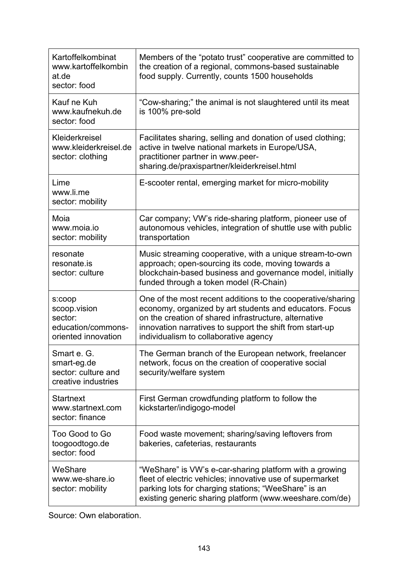| Kartoffelkombinat<br>www.kartoffelkombin<br>at.de<br>sector: food              | Members of the "potato trust" cooperative are committed to<br>the creation of a regional, commons-based sustainable<br>food supply. Currently, counts 1500 households                                                                                                                |
|--------------------------------------------------------------------------------|--------------------------------------------------------------------------------------------------------------------------------------------------------------------------------------------------------------------------------------------------------------------------------------|
| Kauf ne Kuh<br>www.kaufnekuh.de<br>sector: food                                | "Cow-sharing;" the animal is not slaughtered until its meat<br>is 100% pre-sold                                                                                                                                                                                                      |
| Kleiderkreisel<br>www.kleiderkreisel.de<br>sector: clothing                    | Facilitates sharing, selling and donation of used clothing;<br>active in twelve national markets in Europe/USA,<br>practitioner partner in www.peer-<br>sharing.de/praxispartner/kleiderkreisel.html                                                                                 |
| Lime<br>www.li.me<br>sector: mobility                                          | E-scooter rental, emerging market for micro-mobility                                                                                                                                                                                                                                 |
| Moia<br>www.moia.io<br>sector: mobility                                        | Car company; VW's ride-sharing platform, pioneer use of<br>autonomous vehicles, integration of shuttle use with public<br>transportation                                                                                                                                             |
| resonate<br>resonate.is<br>sector: culture                                     | Music streaming cooperative, with a unique stream-to-own<br>approach; open-sourcing its code, moving towards a<br>blockchain-based business and governance model, initially<br>funded through a token model (R-Chain)                                                                |
| s:coop<br>scoop.vision<br>sector:<br>education/commons-<br>oriented innovation | One of the most recent additions to the cooperative/sharing<br>economy, organized by art students and educators. Focus<br>on the creation of shared infrastructure, alternative<br>innovation narratives to support the shift from start-up<br>individualism to collaborative agency |
| Smart e. G<br>smart-eg.de<br>sector: culture and<br>creative industries        | The German branch of the European network, freelancer<br>network, focus on the creation of cooperative social<br>security/welfare system                                                                                                                                             |
| <b>Startnext</b><br>www.startnext.com<br>sector: finance                       | First German crowdfunding platform to follow the<br>kickstarter/indigogo-model                                                                                                                                                                                                       |
| Too Good to Go<br>toogoodtogo.de<br>sector: food                               | Food waste movement; sharing/saving leftovers from<br>bakeries, cafeterias, restaurants                                                                                                                                                                                              |
| WeShare<br>www.we-share.jo<br>sector: mobility                                 | "WeShare" is VW's e-car-sharing platform with a growing<br>fleet of electric vehicles; innovative use of supermarket<br>parking lots for charging stations; "WeeShare" is an<br>existing generic sharing platform (www.weeshare.com/de)                                              |

Source: Own elaboration.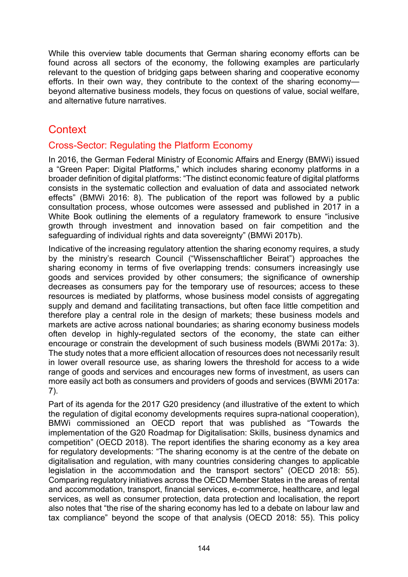While this overview table documents that German sharing economy efforts can be found across all sectors of the economy, the following examples are particularly relevant to the question of bridging gaps between sharing and cooperative economy efforts. In their own way, they contribute to the context of the sharing economy beyond alternative business models, they focus on questions of value, social welfare, and alternative future narratives.

# **Context**

## Cross-Sector: Regulating the Platform Economy

In 2016, the German Federal Ministry of Economic Affairs and Energy (BMWi) issued a "Green Paper: Digital Platforms," which includes sharing economy platforms in a broader definition of digital platforms: "The distinct economic feature of digital platforms consists in the systematic collection and evaluation of data and associated network effects" (BMWi 2016: 8). The publication of the report was followed by a public consultation process, whose outcomes were assessed and published in 2017 in a White Book outlining the elements of a regulatory framework to ensure "inclusive growth through investment and innovation based on fair competition and the safeguarding of individual rights and data sovereignty" (BMWi 2017b).

Indicative of the increasing regulatory attention the sharing economy requires, a study by the ministry's research Council ("Wissenschaftlicher Beirat") approaches the sharing economy in terms of five overlapping trends: consumers increasingly use goods and services provided by other consumers; the significance of ownership decreases as consumers pay for the temporary use of resources; access to these resources is mediated by platforms, whose business model consists of aggregating supply and demand and facilitating transactions, but often face little competition and therefore play a central role in the design of markets; these business models and markets are active across national boundaries; as sharing economy business models often develop in highly-regulated sectors of the economy, the state can either encourage or constrain the development of such business models (BWMi 2017a: 3). The study notes that a more efficient allocation of resources does not necessarily result in lower overall resource use, as sharing lowers the threshold for access to a wide range of goods and services and encourages new forms of investment, as users can more easily act both as consumers and providers of goods and services (BWMi 2017a: 7).

Part of its agenda for the 2017 G20 presidency (and illustrative of the extent to which the regulation of digital economy developments requires supra-national cooperation), BMWi commissioned an OECD report that was published as "Towards the implementation of the G20 Roadmap for Digitalisation: Skills, business dynamics and competition" (OECD 2018). The report identifies the sharing economy as a key area for regulatory developments: "The sharing economy is at the centre of the debate on digitalisation and regulation, with many countries considering changes to applicable legislation in the accommodation and the transport sectors" (OECD 2018: 55). Comparing regulatory initiatives across the OECD Member States in the areas of rental and accommodation, transport, financial services, e-commerce, healthcare, and legal services, as well as consumer protection, data protection and localisation, the report also notes that "the rise of the sharing economy has led to a debate on labour law and tax compliance" beyond the scope of that analysis (OECD 2018: 55). This policy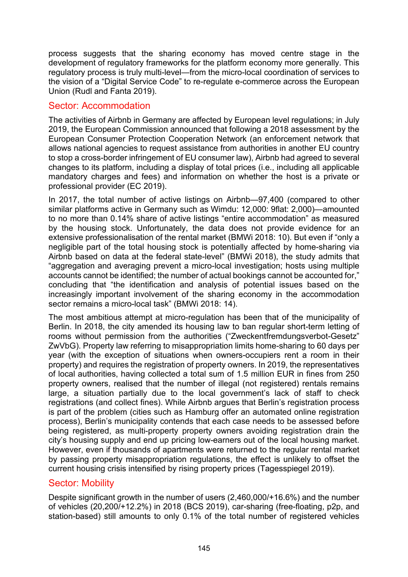process suggests that the sharing economy has moved centre stage in the development of regulatory frameworks for the platform economy more generally. This regulatory process is truly multi-level—from the micro-local coordination of services to the vision of a "Digital Service Code" to re-regulate e-commerce across the European Union (Rudl and Fanta 2019).

## Sector: Accommodation

The activities of Airbnb in Germany are affected by European level regulations; in July 2019, the European Commission announced that following a 2018 assessment by the European Consumer Protection Cooperation Network (an enforcement network that allows national agencies to request assistance from authorities in another EU country to stop a cross-border infringement of EU consumer law), Airbnb had agreed to several changes to its platform, including a display of total prices (i.e., including all applicable mandatory charges and fees) and information on whether the host is a private or professional provider (EC 2019).

In 2017, the total number of active listings on Airbnb—97,400 (compared to other similar platforms active in Germany such as Wimdu: 12,000: 9flat: 2,000)—amounted to no more than 0.14% share of active listings "entire accommodation" as measured by the housing stock. Unfortunately, the data does not provide evidence for an extensive professionalisation of the rental market (BMWi 2018: 10). But even if "only a negligible part of the total housing stock is potentially affected by home-sharing via Airbnb based on data at the federal state-level" (BMWi 2018), the study admits that "aggregation and averaging prevent a micro-local investigation; hosts using multiple accounts cannot be identified; the number of actual bookings cannot be accounted for," concluding that "the identification and analysis of potential issues based on the increasingly important involvement of the sharing economy in the accommodation sector remains a micro-local task" (BMWi 2018: 14).

The most ambitious attempt at micro-regulation has been that of the municipality of Berlin. In 2018, the city amended its housing law to ban regular short-term letting of rooms without permission from the authorities ("Zweckentfremdungsverbot-Gesetz" ZwVbG). Property law referring to misappropriation limits home-sharing to 60 days per year (with the exception of situations when owners-occupiers rent a room in their property) and requires the registration of property owners. In 2019, the representatives of local authorities, having collected a total sum of 1.5 million EUR in fines from 250 property owners, realised that the number of illegal (not registered) rentals remains large, a situation partially due to the local government's lack of staff to check registrations (and collect fines). While Airbnb argues that Berlin's registration process is part of the problem (cities such as Hamburg offer an automated online registration process), Berlin's municipality contends that each case needs to be assessed before being registered, as multi-property property owners avoiding registration drain the city's housing supply and end up pricing low-earners out of the local housing market. However, even if thousands of apartments were returned to the regular rental market by passing property misappropriation regulations, the effect is unlikely to offset the current housing crisis intensified by rising property prices (Tagesspiegel 2019).

#### Sector: Mobility

Despite significant growth in the number of users (2,460,000/+16.6%) and the number of vehicles (20,200/+12.2%) in 2018 (BCS 2019), car-sharing (free-floating, p2p, and station-based) still amounts to only 0.1% of the total number of registered vehicles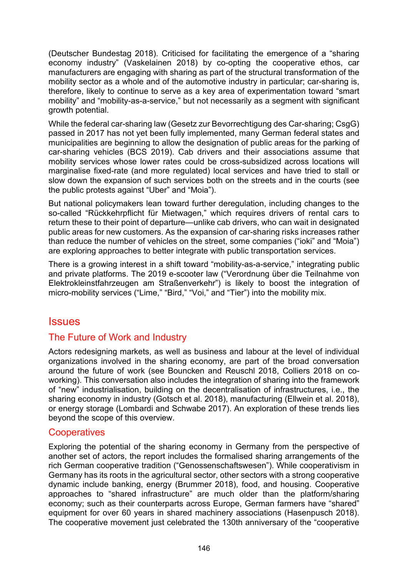(Deutscher Bundestag 2018). Criticised for facilitating the emergence of a "sharing economy industry" (Vaskelainen 2018) by co-opting the cooperative ethos, car manufacturers are engaging with sharing as part of the structural transformation of the mobility sector as a whole and of the automotive industry in particular; car-sharing is, therefore, likely to continue to serve as a key area of experimentation toward "smart mobility" and "mobility-as-a-service," but not necessarily as a segment with significant growth potential.

While the federal car-sharing law (Gesetz zur Bevorrechtigung des Car-sharing; CsgG) passed in 2017 has not yet been fully implemented, many German federal states and municipalities are beginning to allow the designation of public areas for the parking of car-sharing vehicles (BCS 2019). Cab drivers and their associations assume that mobility services whose lower rates could be cross-subsidized across locations will marginalise fixed-rate (and more regulated) local services and have tried to stall or slow down the expansion of such services both on the streets and in the courts (see the public protests against "Uber" and "Moia").

But national policymakers lean toward further deregulation, including changes to the so-called "Rückkehrpflicht für Mietwagen," which requires drivers of rental cars to return these to their point of departure—unlike cab drivers, who can wait in designated public areas for new customers. As the expansion of car-sharing risks increases rather than reduce the number of vehicles on the street, some companies ("ioki" and "Moia") are exploring approaches to better integrate with public transportation services.

There is a growing interest in a shift toward "mobility-as-a-service," integrating public and private platforms. The 2019 e-scooter law ("Verordnung über die Teilnahme von Elektrokleinstfahrzeugen am Straßenverkehr") is likely to boost the integration of micro-mobility services ("Lime," "Bird," "Voi," and "Tier") into the mobility mix.

## **Issues**

## The Future of Work and Industry

Actors redesigning markets, as well as business and labour at the level of individual organizations involved in the sharing economy, are part of the broad conversation around the future of work (see Bouncken and Reuschl 2018, Colliers 2018 on coworking). This conversation also includes the integration of sharing into the framework of "new" industrialisation, building on the decentralisation of infrastructures, i.e., the sharing economy in industry (Gotsch et al. 2018), manufacturing (Ellwein et al. 2018), or energy storage (Lombardi and Schwabe 2017). An exploration of these trends lies beyond the scope of this overview.

#### **Cooperatives**

Exploring the potential of the sharing economy in Germany from the perspective of another set of actors, the report includes the formalised sharing arrangements of the rich German cooperative tradition ("Genossenschaftswesen"). While cooperativism in Germany has its roots in the agricultural sector, other sectors with a strong cooperative dynamic include banking, energy (Brummer 2018), food, and housing. Cooperative approaches to "shared infrastructure" are much older than the platform/sharing economy; such as their counterparts across Europe, German farmers have "shared" equipment for over 60 years in shared machinery associations (Hasenpusch 2018). The cooperative movement just celebrated the 130th anniversary of the "cooperative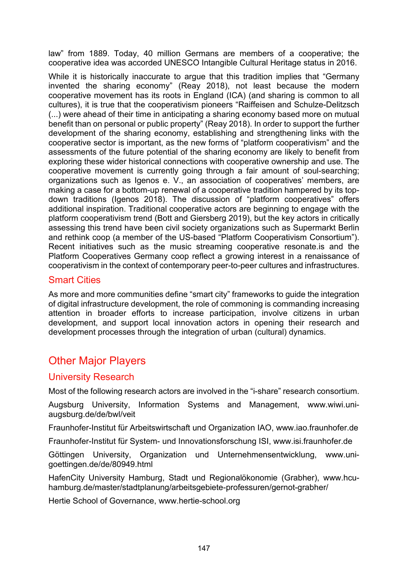law" from 1889. Today, 40 million Germans are members of a cooperative; the cooperative idea was accorded UNESCO Intangible Cultural Heritage status in 2016.

While it is historically inaccurate to argue that this tradition implies that "Germany invented the sharing economy" (Reay 2018), not least because the modern cooperative movement has its roots in England (ICA) (and sharing is common to all cultures), it is true that the cooperativism pioneers "Raiffeisen and Schulze-Delitzsch (...) were ahead of their time in anticipating a sharing economy based more on mutual benefit than on personal or public property" (Reay 2018). In order to support the further development of the sharing economy, establishing and strengthening links with the cooperative sector is important, as the new forms of "platform cooperativism" and the assessments of the future potential of the sharing economy are likely to benefit from exploring these wider historical connections with cooperative ownership and use. The cooperative movement is currently going through a fair amount of soul-searching; organizations such as Igenos e. V., an association of cooperatives' members, are making a case for a bottom-up renewal of a cooperative tradition hampered by its topdown traditions (Igenos 2018). The discussion of "platform cooperatives" offers additional inspiration. Traditional cooperative actors are beginning to engage with the platform cooperativism trend (Bott and Giersberg 2019), but the key actors in critically assessing this trend have been civil society organizations such as Supermarkt Berlin and rethink coop (a member of the US-based "Platform Cooperativism Consortium"). Recent initiatives such as the music streaming cooperative resonate.is and the Platform Cooperatives Germany coop reflect a growing interest in a renaissance of cooperativism in the context of contemporary peer-to-peer cultures and infrastructures.

## Smart Cities

As more and more communities define "smart city" frameworks to guide the integration of digital infrastructure development, the role of commoning is commanding increasing attention in broader efforts to increase participation, involve citizens in urban development, and support local innovation actors in opening their research and development processes through the integration of urban (cultural) dynamics.

# Other Major Players

#### University Research

Most of the following research actors are involved in the "i-share" research consortium.

Augsburg University, Information Systems and Management, [www.wiwi.uni](https://www.wiwi.uni-augsburg.de/de/bwl/veit/)[augsburg.de/de/bwl/veit](https://www.wiwi.uni-augsburg.de/de/bwl/veit/)

Fraunhofer-Institut für Arbeitswirtschaft und Organization IAO, [www.iao.fraunhofer.de](https://www.iao.fraunhofer.de/)

Fraunhofer-Institut für System- und Innovationsforschung ISI, [www.isi.fraunhofer.de](https://www.isi.fraunhofer.de/)

Göttingen University, Organization und Unternehmensentwicklung, [www.uni](http://www.uni-goettingen.de/de/80949.html)[goettingen.de/de/80949.html](http://www.uni-goettingen.de/de/80949.html)

HafenCity University Hamburg, Stadt und Regionalökonomie (Grabher), [www.hcu](https://www.hcu-hamburg.de/master/stadtplanung/arbeitsgebiete-professuren/gernot-grabher/)[hamburg.de/master/stadtplanung/arbeitsgebiete](https://www.hcu-hamburg.de/master/stadtplanung/arbeitsgebiete-professuren/gernot-grabher/)-professuren/gernot-grabher/

Hertie School of Governance, [www.hertie-school.org](https://www.hertie-school.org/)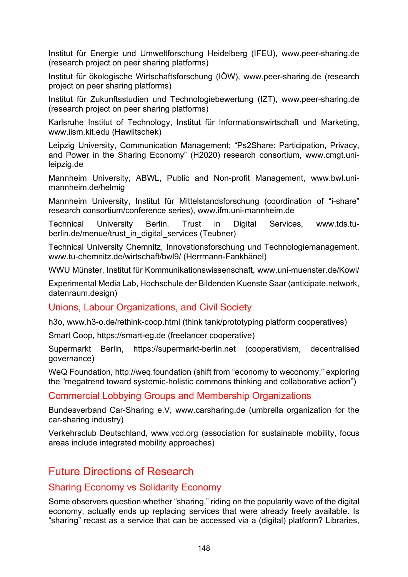Institut für Energie und Umweltforschung Heidelberg (IFEU), [www.peer-sharing.de](https://www.peer-sharing.de/) (research project on peer sharing platforms)

Institut für ökologische Wirtschaftsforschung (IÖW), [www.peer-sharing.de](https://www.peer-sharing.de/) (research project on peer sharing platforms)

Institut für Zukunftsstudien und Technologiebewertung (IZT), [www.peer-sharing.de](https://www.peer-sharing.de/) (research project on peer sharing platforms)

Karlsruhe Institut of Technology, Institut für Informationswirtschaft und Marketing, [www.iism.kit.edu](https://www.iism.kit.edu/) (Hawlitschek)

Leipzig University, Communication Management; "Ps2Share: Participation, Privacy, and Power in the Sharing Economy" (H2020) research consortium, [www.cmgt.uni](http://www.cmgt.uni-leipzig.de/)[leipzig.de](http://www.cmgt.uni-leipzig.de/)

Mannheim University, ABWL, Public and Non-profit Management, www[.bwl.uni](https://www.bwl.uni-mannheim.de/helmig)[mannheim.de/helmig](https://www.bwl.uni-mannheim.de/helmig)

Mannheim University, Institut für Mittelstandsforschung (coordination of "i-share" research consortium/conference series), [www.ifm.uni-mannheim.de](http://www.ifm.uni-mannheim.de/)

Technical University Berlin, Trust in Digital Services, [www.tds.tu](https://www.tds.tu-berlin.de/menue/trust_in_digital_services)[berlin.de/menue/trust\\_in\\_digital\\_services](https://www.tds.tu-berlin.de/menue/trust_in_digital_services) (Teubner)

Technical University Chemnitz, Innovationsforschung und Technologiemanagement, www.tu-[chemnitz.de/wirtschaft/bwl9](https://www.tu-chemnitz.de/wirtschaft/bwl9)/ (Herrmann-Fankhänel)

WWU Münster, Institut für Kommunikationswissenschaft, [www.uni-muenster.de/Kowi/](https://www.uni-muenster.de/Kowi/)

Experimental Media Lab, Hochschule der Bildenden Kuenste Saar ([anticipate.network,](https://anticipate.network/) [datenraum.design\)](https://datenraum.design/)

#### Unions, Labour Organizations, and Civil Society

h3o, [www.h3-o.de/rethink-coop.html](https://www.h3-o.de/rethink-coop.html) (think tank/prototyping platform cooperatives)

Smart Coop, [https://smart-eg.de](https://smart-eg.de/) (freelancer cooperative)

Supermarkt Berlin, [https://supermarkt-](https://supermarkt-berlin.net/)berlin.net (cooperativism, decentralised governance)

WeQ Foundation, [http://weq.foundation](http://weq.foundation/) (shift from "economy to weconomy," exploring the "megatrend toward systemic-holistic commons thinking and collaborative action")

#### Commercial Lobbying Groups and Membership Organizations

Bundesverband Car-Sharing e.V, [www.carsharing.de](https://www.carsharing.de/) (umbrella organization for the car-sharing industry)

Verkehrsclub Deutschland, [www.vcd.org](https://www.vcd.org/) (association for sustainable mobility, focus areas include integrated mobility approaches)

## Future Directions of Research

#### Sharing Economy vs Solidarity Economy

Some observers question whether "sharing," riding on the popularity wave of the digital economy, actually ends up replacing services that were already freely available. Is "sharing" recast as a service that can be accessed via a (digital) platform? Libraries,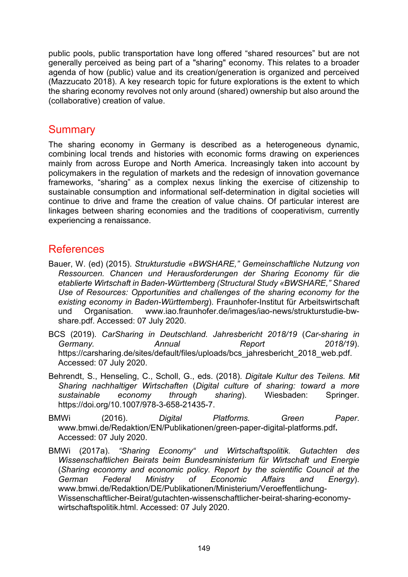public pools, public transportation have long offered "shared resources" but are not generally perceived as being part of a "sharing" economy. This relates to a broader agenda of how (public) value and its creation/generation is organized and perceived (Mazzucato 2018). A key research topic for future explorations is the extent to which the sharing economy revolves not only around (shared) ownership but also around the (collaborative) creation of value.

## **Summary**

The sharing economy in Germany is described as a heterogeneous dynamic, combining local trends and histories with economic forms drawing on experiences mainly from across Europe and North America. Increasingly taken into account by policymakers in the regulation of markets and the redesign of innovation governance frameworks, "sharing" as a complex nexus linking the exercise of citizenship to sustainable consumption and informational self-determination in digital societies will continue to drive and frame the creation of value chains. Of particular interest are linkages between sharing economies and the traditions of cooperativism, currently experiencing a renaissance.

## References

- Bauer, W. (ed) (2015). *Strukturstudie «BWSHARE," Gemeinschaftliche Nutzung von Ressourcen. Chancen und Herausforderungen der Sharing Economy für die etablierte Wirtschaft in Baden-Württemberg (Structural Study «BWSHARE," Shared Use of Resources: Opportunities and challenges of the sharing economy for the existing economy in Baden-Württemberg*). Fraunhofer-[Institut für Arbeitswirtschaft](https://www.iao.fraunhofer.de/lang-de/images/iao-)  [und Organisation. www.iao.fraunhofer.de/images/iao](https://www.iao.fraunhofer.de/lang-de/images/iao-)-news/strukturstudie-bw[share.pdf. Accessed: 07 July 2020.](https://www.iao.fraunhofer.de/lang-de/images/iao-)
- BCS (2019). *CarSharing in Deutschland. Jahresbericht 2018/19* (*Car-sharing in Germany. Annual Report 2018/19*). [https://carsharing.de/sites/default/files/uploads/bcs\\_jahresbericht\\_2018\\_web.pdf](https://carsharing.de/sites/default/files/uploads/bcs_jahresbericht_2018_web.pdf). [Accessed: 07 July 2020.](https://www.iao.fraunhofer.de/lang-de/images/iao-)
- Behrendt, S., Henseling, C., Scholl, G., eds. (2018). *Digitale Kultur des Teilens. Mit Sharing nachhaltiger Wirtschaften* (*Digital culture of sharing: toward a more sustainable economy through sharing*). Wiesbaden: Springer. https://doi.org/10.1007/978-3-658-21435-7.
- BMWi (2016). *Digital Platforms. Green Paper*. [www.bmwi.de/Redaktion/EN/Publikationen/green](https://www.bmwi.de/Redaktion/EN/Publikationen/green-paper-digital-platforms.pdf)-paper-digital-platforms.pdf**.**  [Accessed: 07 July 2020.](https://www.iao.fraunhofer.de/lang-de/images/iao-)
- BMWi (2017a). *"Sharing Economy" und Wirtschaftspolitik. Gutachten des Wissenschaftlichen Beirats beim Bundesministerium für Wirtschaft und Energie* (*Sharing economy and economic policy. Report by the scientific Council at the German Federal Ministry of Economic Affairs and Energy*). [www.bmwi.de/Redaktion/DE/Publikationen/Ministerium/Veroeffentlichung](https://www.bmwi.de/Redaktion/DE/Publikationen/Ministerium/Veroeffentlichung-Wissenschaftlicher-Beirat/gutachten-wissenschaftlicher-beirat-sharing-economy-wirtschaftspolitik.html)-[Wissenschaftlicher-Beirat/gutachten-wissenschaftlicher-](https://www.bmwi.de/Redaktion/DE/Publikationen/Ministerium/Veroeffentlichung-Wissenschaftlicher-Beirat/gutachten-wissenschaftlicher-beirat-sharing-economy-wirtschaftspolitik.html)beirat-sharing-economy[wirtschaftspolitik.html.](https://www.bmwi.de/Redaktion/DE/Publikationen/Ministerium/Veroeffentlichung-Wissenschaftlicher-Beirat/gutachten-wissenschaftlicher-beirat-sharing-economy-wirtschaftspolitik.html) [Accessed: 07 July 2020.](https://www.iao.fraunhofer.de/lang-de/images/iao-)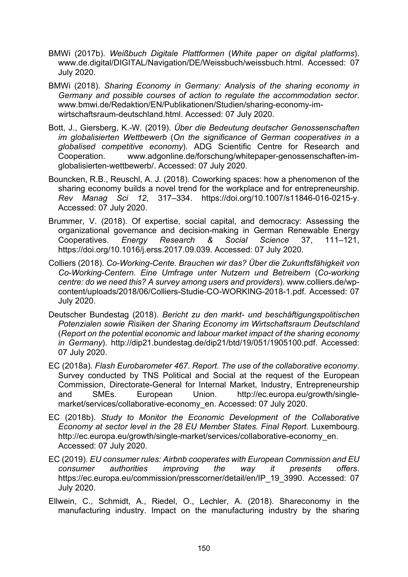- BMWi (2017b). *Weißbuch Digitale Plattformen* (*White paper on digital platforms*). [www.de.digital/DIGITAL/Navigation/DE/Weissbuch/weissbuch.html](https://www.de.digital/DIGITAL/Navigation/DE/Weissbuch/weissbuch.html). [Accessed: 07](https://www.iao.fraunhofer.de/lang-de/images/iao-)  [July 2020.](https://www.iao.fraunhofer.de/lang-de/images/iao-)
- BMWi (2018). *Sharing Economy in Germany: Analysis of the sharing economy in Germany and possible courses of action to regulate the accommodation sector*. [www.bmwi.de/Redaktion/EN/Publikationen/Studien/sharing](https://www.bmwi.de/Redaktion/EN/Publikationen/Studien/sharing-economy-im-wirtschaftsraum-deutschland.html)-economy-im[wirtschaftsraum-deutschland.html.](https://www.bmwi.de/Redaktion/EN/Publikationen/Studien/sharing-economy-im-wirtschaftsraum-deutschland.html) [Accessed: 07 July 2020.](https://www.iao.fraunhofer.de/lang-de/images/iao-)
- Bott, J., Giersberg, K.-W. (2019). *Über die Bedeutung deutscher Genossenschaften im globalisierten Wettbewerb* (*On the significance of German cooperatives in a globalised competitive economy*). ADG Scientific Centre for Research and Cooperation. [www.adgonline.de/forschung/whitepaper-genossenschaften-im](https://www.adgonline.de/forschung/whitepaper-genossenschaften-im-globalisierten-wettbewerb/)[globalisierten](https://www.adgonline.de/forschung/whitepaper-genossenschaften-im-globalisierten-wettbewerb/)-wettbewerb/. [Accessed: 07 July 2020.](https://www.iao.fraunhofer.de/lang-de/images/iao-)
- Bouncken, R.B., Reuschl, A. J. (2018). Coworking spaces: how a phenomenon of the sharing economy builds a novel trend for the workplace and for entrepreneurship. *Rev Manag Sci 12*, 317–334. [https://doi.org/10.1007/s11846-016-0215-y.](https://doi.org/10.1007/s11846-016-0215-y) [Accessed: 07 July 2020.](https://www.iao.fraunhofer.de/lang-de/images/iao-)
- Brummer, V. (2018). Of expertise, social capital, and democracy: Assessing the organizational governance and decision-making in German Renewable Energy Cooperatives. *Energy Research & Social Science* 37, 111–121, [https://doi.org/10.1016/j.erss.2017.09.039.](https://doi.org/10.1016/j.erss.2017.09.039) [Accessed: 07 July 2020.](https://www.iao.fraunhofer.de/lang-de/images/iao-)
- Colliers (2018). *Co-Working-Cente. Brauchen wir das? Über die Zukunftsfähigkeit von Co-Working-Centern. Eine Umfrage unter Nutzern und Betreibern* (*Co-working centre: do we need this? A survey among users and providers*). [www.colliers.de/wp](https://www.colliers.de/wp-content/uploads/2018/06/Colliers-Studie-COWORKING-2018-1.pdf)[content/uploads/2018/06/Colliers-Studie-](https://www.colliers.de/wp-content/uploads/2018/06/Colliers-Studie-COWORKING-2018-1.pdf)CO-WORKING-2018-1.pdf. [Accessed: 07](https://www.iao.fraunhofer.de/lang-de/images/iao-)  [July 2020.](https://www.iao.fraunhofer.de/lang-de/images/iao-)
- Deutscher Bundestag (2018). *Bericht zu den markt- und beschäftigungspolitischen Potenzialen sowie Risiken der Sharing Economy im Wirtschaftsraum Deutschland* (*Report on the potential economic and labour market impact of the sharing economy in Germany*). <http://dip21.bundestag.de/dip21/btd/19/051/1905100.pdf>. [Accessed:](https://www.iao.fraunhofer.de/lang-de/images/iao-)  [07 July 2020.](https://www.iao.fraunhofer.de/lang-de/images/iao-)
- EC (2018a). *Flash Eurobarometer 467. Report. The use of the collaborative economy*. Survey conducted by TNS Political and Social at the request of the European Commission, Directorate-General for Internal Market, Industry, Entrepreneurship and SMEs. European Union. [http://ec.europa.eu/growth/single](http://ec.europa.eu/growth/single-market/services/collaborative-economy_en)[market/services/collaborative](http://ec.europa.eu/growth/single-market/services/collaborative-economy_en)-economy\_en. [Accessed: 07 July 2020.](https://www.iao.fraunhofer.de/lang-de/images/iao-)
- EC (2018b). *Study to Monitor the Economic Development of the Collaborative Economy at sector level in the 28 EU Member States. Final Report*. Luxembourg. [http://ec.europa.eu/growth/single-market](http://ec.europa.eu/growth/single-market/services/collaborative-economy_en)/services/collaborative-economy\_en. [Accessed: 07 July 2020.](https://www.iao.fraunhofer.de/lang-de/images/iao-)
- EC (2019). *EU consumer rules: Airbnb cooperates with European Commission and EU consumer authorities improving the way it presents offers*. [https://ec.europa.eu/commission/presscorner/detail/en/IP\\_19\\_3990.](https://ec.europa.eu/commission/presscorner/detail/en/IP_19_3990) Accessed: 07 [July 2020.](https://www.iao.fraunhofer.de/lang-de/images/iao-)
- Ellwein, C., Schmidt, A., Riedel, O., Lechler, A. (2018). Shareconomy in the manufacturing industry. Impact on the manufacturing industry by the sharing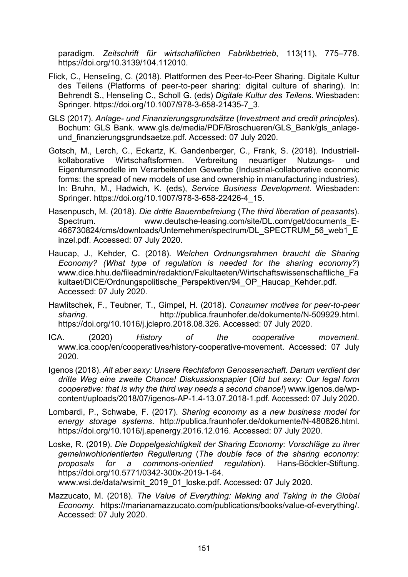paradigm. *Zeitschrift für wirtschaftlichen Fabrikbetrieb*, 113(11), 775–778. [https://doi.org/10.3139/104.112010.](https://doi.org/10.3139/104.112010)

- Flick, C., Henseling, C. (2018). Plattformen des Peer-to-Peer Sharing. Digitale Kultur des Teilens (Platforms of peer-to-peer sharing: digital culture of sharing). In: Behrendt S., Henseling C., Scholl G. (eds) *Digitale Kultur des Teilens*. Wiesbaden: Springer. [https://doi.org/10.1007/978-3-658-21435-7\\_3.](https://link.springer.com/chapter/10.1007/978-3-658-21435-7_3)
- GLS (2017). *Anlage- und Finanzierungsgrundsätze* (*Investment and credit principles*). Bochum: GLS Bank. www.gls.de/media/PDF/Broschueren/GLS\_Bank/gls\_anlageund\_finanzierungsgrundsaetze.pdf. [Accessed: 07 July 2020.](https://www.iao.fraunhofer.de/lang-de/images/iao-)
- Gotsch, M., Lerch, C., Eckartz, K. Gandenberger, C., Frank, S. (2018). Industriellkollaborative Wirtschaftsformen. Verbreitung neuartiger Nutzungs- und Eigentumsmodelle im Verarbeitenden Gewerbe (Industrial-collaborative economic forms: the spread of new models of use and ownership in manufacturing industries). In: Bruhn, M., Hadwich, K. (eds), *Service Business Development*. Wiesbaden: Springer. https://doi.org/10.1007/978-3-658-22426-4\_15.
- Hasenpusch, M. (2018). *Die dritte Bauernbefreiung* (*The third liberation of peasants*). Spectrum. www.deutsche-[leasing.com/site/DL.com/get/documents\\_E](https://www.deutsche-leasing.com/site/DL.com/get/documents_E-466730824/cms/downloads/Unternehmen/spectrum/DL_SPECTRUM_56_web1_Einzel.pdf)-[466730824/cms/downloads/Unternehmen/spectrum/DL\\_SPECTRUM\\_56\\_web1\\_E](https://www.deutsche-leasing.com/site/DL.com/get/documents_E-466730824/cms/downloads/Unternehmen/spectrum/DL_SPECTRUM_56_web1_Einzel.pdf) [inzel.pdf.](https://www.deutsche-leasing.com/site/DL.com/get/documents_E-466730824/cms/downloads/Unternehmen/spectrum/DL_SPECTRUM_56_web1_Einzel.pdf) [Accessed: 07 July 2020.](https://www.iao.fraunhofer.de/lang-de/images/iao-)
- Haucap, J., Kehder, C. (2018). *Welchen Ordnungsrahmen braucht die Sharing Economy? (What type of regulation is needed for the sharing economy?*) [www.dice.hhu.de/fileadmin/redaktion/Fakultaeten/Wirtschaftswissenschaftliche\\_Fa](http://www.dice.hhu.de/fileadmin/redaktion/Fakultaeten/Wirtschaftswissenschaftliche_Fakultaet/DICE/Ordnungspolitische_Perspektiven/94_OP_Haucap_Kehder.pdf) kultaet/DICE/Ordnungspolitische Perspektiven/94 OP Haucap Kehder.pdf. [Accessed: 07 July 2020.](https://www.iao.fraunhofer.de/lang-de/images/iao-)
- Hawlitschek, F., Teubner, T., Gimpel, H. (2018). *Consumer motives for peer-to-peer sharing*. [http://publica.fraunhofer.de/dokumente/N](http://publica.fraunhofer.de/dokumente/N-509929.html)-509929.html. [https://doi.org/10.1016/j.jclepro.2018.08.326.](https://doi.org/10.1016/j.jclepro.2018.08.326) [Accessed: 07 July 2020.](https://www.iao.fraunhofer.de/lang-de/images/iao-)
- ICA. (2020) *History of the cooperative movement*. www.ica.coop/en/cooperatives/history-cooperative-movement. [Accessed: 07 July](https://www.iao.fraunhofer.de/lang-de/images/iao-)  [2020.](https://www.iao.fraunhofer.de/lang-de/images/iao-)
- Igenos (2018). *Alt aber sexy: Unsere Rechtsform Genossenschaft. Darum verdient der dritte Weg eine zweite Chance! Diskussionspapier* (*Old but sexy: Our legal form cooperative: that is why the third way needs a second chance!*) [www.igenos.de/wp](https://www.igenos.de/wp-content/uploads/2018/07/igenos-AP-1.4-13.07.2018-1.pdf)[content/uploads/2018/07/igenos-AP-1.4-13.07.2018-1.pdf.](https://www.igenos.de/wp-content/uploads/2018/07/igenos-AP-1.4-13.07.2018-1.pdf) [Accessed: 07 July 2020.](https://www.iao.fraunhofer.de/lang-de/images/iao-)
- Lombardi, P., Schwabe, F. (2017). *Sharing economy as a new business model for energy storage systems*. [http://publica.fraunhofer.de/dokumente/N](http://publica.fraunhofer.de/dokumente/N-480826.html)-480826.html. [https://doi.org/10.1016/j.apenergy.2016.12.016.](https://doi.org/10.1016/j.apenergy.2016.12.016) [Accessed: 07 July 2020.](https://www.iao.fraunhofer.de/lang-de/images/iao-)
- Loske, R. (2019). *Die Doppelgesichtigkeit der Sharing Economy: Vorschläge zu ihrer gemeinwohlorientierten Regulierung* (*The double face of the sharing economy: proposals for a commons-orientied regulation*). Hans-Böckler-Stiftung. https://doi.org/10.5771/0342-300x-2019-1-64. www.wsi.de/data/wsimit\_2019\_01\_loske.pdf. [Accessed: 07 July 2020.](https://www.iao.fraunhofer.de/lang-de/images/iao-)
- Mazzucato, M. (2018). *The Value of Everything: Making and Taking in the Global Economy*. [https://marianamazzucato.com/publications/books/value](https://marianamazzucato.com/publications/books/value-of-everything/)-of-everything/. [Accessed: 07 July 2020.](https://www.iao.fraunhofer.de/lang-de/images/iao-)